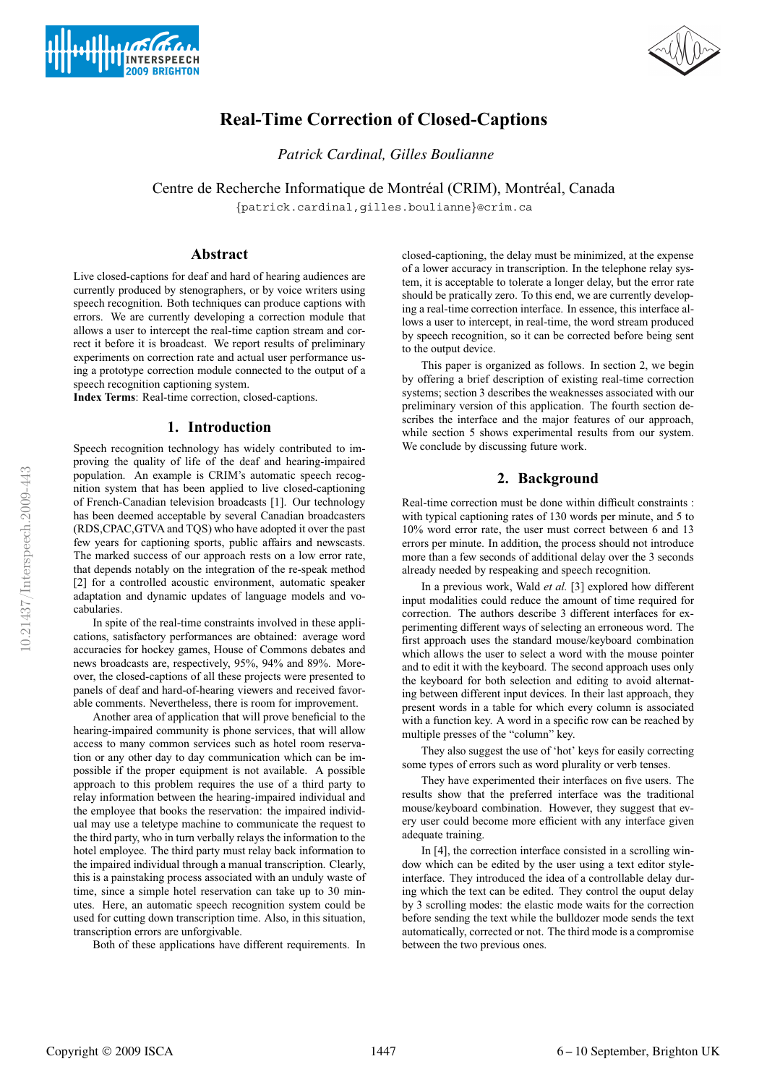



# **Real-Time Correction of Closed-Captions**

*Patrick Cardinal, Gilles Boulianne*

Centre de Recherche Informatique de Montréal (CRIM), Montréal, Canada

{patrick.cardinal,gilles.boulianne}@crim.ca

### **Abstract**

Live closed-captions for deaf and hard of hearing audiences are currently produced by stenographers, or by voice writers using speech recognition. Both techniques can produce captions with errors. We are currently developing a correction module that allows a user to intercept the real-time caption stream and correct it before it is broadcast. We report results of preliminary experiments on correction rate and actual user performance using a prototype correction module connected to the output of a speech recognition captioning system.

**Index Terms**: Real-time correction, closed-captions.

# **1. Introduction**

Speech recognition technology has widely contributed to improving the quality of life of the deaf and hearing-impaired population. An example is CRIM's automatic speech recognition system that has been applied to live closed-captioning of French-Canadian television broadcasts [1]. Our technology has been deemed acceptable by several Canadian broadcasters (RDS,CPAC,GTVA and TQS) who have adopted it over the past few years for captioning sports, public affairs and newscasts. The marked success of our approach rests on a low error rate, that depends notably on the integration of the re-speak method [2] for a controlled acoustic environment, automatic speaker adaptation and dynamic updates of language models and vocabularies.

In spite of the real-time constraints involved in these applications, satisfactory performances are obtained: average word accuracies for hockey games, House of Commons debates and news broadcasts are, respectively, 95%, 94% and 89%. Moreover, the closed-captions of all these projects were presented to panels of deaf and hard-of-hearing viewers and received favorable comments. Nevertheless, there is room for improvement.

Another area of application that will prove beneficial to the hearing-impaired community is phone services, that will allow access to many common services such as hotel room reservation or any other day to day communication which can be impossible if the proper equipment is not available. A possible approach to this problem requires the use of a third party to relay information between the hearing-impaired individual and the employee that books the reservation: the impaired individual may use a teletype machine to communicate the request to the third party, who in turn verbally relays the information to the hotel employee. The third party must relay back information to the impaired individual through a manual transcription. Clearly, this is a painstaking process associated with an unduly waste of time, since a simple hotel reservation can take up to 30 minutes. Here, an automatic speech recognition system could be used for cutting down transcription time. Also, in this situation, transcription errors are unforgivable.

Both of these applications have different requirements. In

closed-captioning, the delay must be minimized, at the expense of a lower accuracy in transcription. In the telephone relay system, it is acceptable to tolerate a longer delay, but the error rate should be pratically zero. To this end, we are currently developing a real-time correction interface. In essence, this interface allows a user to intercept, in real-time, the word stream produced by speech recognition, so it can be corrected before being sent to the output device.

This paper is organized as follows. In section 2, we begin by offering a brief description of existing real-time correction systems; section 3 describes the weaknesses associated with our preliminary version of this application. The fourth section describes the interface and the major features of our approach, while section 5 shows experimental results from our system. We conclude by discussing future work.

# **2. Background**

Real-time correction must be done within difficult constraints : with typical captioning rates of 130 words per minute, and 5 to 10% word error rate, the user must correct between 6 and 13 errors per minute. In addition, the process should not introduce more than a few seconds of additional delay over the 3 seconds already needed by respeaking and speech recognition.

In a previous work, Wald *et al.* [3] explored how different input modalities could reduce the amount of time required for correction. The authors describe 3 different interfaces for experimenting different ways of selecting an erroneous word. The first approach uses the standard mouse/keyboard combination which allows the user to select a word with the mouse pointer and to edit it with the keyboard. The second approach uses only the keyboard for both selection and editing to avoid alternating between different input devices. In their last approach, they present words in a table for which every column is associated with a function key. A word in a specific row can be reached by multiple presses of the "column" key.

They also suggest the use of 'hot' keys for easily correcting some types of errors such as word plurality or verb tenses.

They have experimented their interfaces on five users. The results show that the preferred interface was the traditional mouse/keyboard combination. However, they suggest that every user could become more efficient with any interface given adequate training.

In [4], the correction interface consisted in a scrolling window which can be edited by the user using a text editor styleinterface. They introduced the idea of a controllable delay during which the text can be edited. They control the ouput delay by 3 scrolling modes: the elastic mode waits for the correction before sending the text while the bulldozer mode sends the text automatically, corrected or not. The third mode is a compromise between the two previous ones.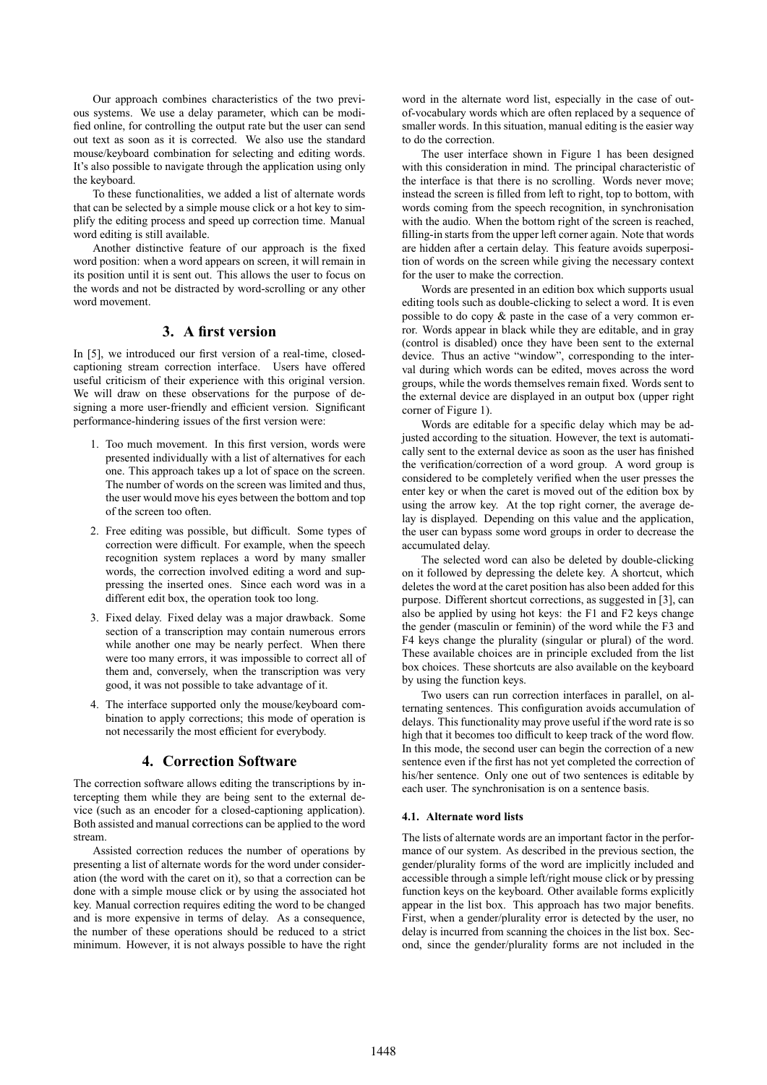Our approach combines characteristics of the two previous systems. We use a delay parameter, which can be modified online, for controlling the output rate but the user can send out text as soon as it is corrected. We also use the standard mouse/keyboard combination for selecting and editing words. It's also possible to navigate through the application using only the keyboard.

To these functionalities, we added a list of alternate words that can be selected by a simple mouse click or a hot key to simplify the editing process and speed up correction time. Manual word editing is still available.

Another distinctive feature of our approach is the fixed word position: when a word appears on screen, it will remain in its position until it is sent out. This allows the user to focus on the words and not be distracted by word-scrolling or any other word movement.

# **3. A first version**

In [5], we introduced our first version of a real-time, closedcaptioning stream correction interface. Users have offered useful criticism of their experience with this original version. We will draw on these observations for the purpose of designing a more user-friendly and efficient version. Significant performance-hindering issues of the first version were:

- 1. Too much movement. In this first version, words were presented individually with a list of alternatives for each one. This approach takes up a lot of space on the screen. The number of words on the screen was limited and thus, the user would move his eyes between the bottom and top of the screen too often.
- 2. Free editing was possible, but difficult. Some types of correction were difficult. For example, when the speech recognition system replaces a word by many smaller words, the correction involved editing a word and suppressing the inserted ones. Since each word was in a different edit box, the operation took too long.
- 3. Fixed delay. Fixed delay was a major drawback. Some section of a transcription may contain numerous errors while another one may be nearly perfect. When there were too many errors, it was impossible to correct all of them and, conversely, when the transcription was very good, it was not possible to take advantage of it.
- 4. The interface supported only the mouse/keyboard combination to apply corrections; this mode of operation is not necessarily the most efficient for everybody.

### **4. Correction Software**

The correction software allows editing the transcriptions by intercepting them while they are being sent to the external device (such as an encoder for a closed-captioning application). Both assisted and manual corrections can be applied to the word stream.

Assisted correction reduces the number of operations by presenting a list of alternate words for the word under consideration (the word with the caret on it), so that a correction can be done with a simple mouse click or by using the associated hot key. Manual correction requires editing the word to be changed and is more expensive in terms of delay. As a consequence, the number of these operations should be reduced to a strict minimum. However, it is not always possible to have the right

word in the alternate word list, especially in the case of outof-vocabulary words which are often replaced by a sequence of smaller words. In this situation, manual editing is the easier way to do the correction.

The user interface shown in Figure 1 has been designed with this consideration in mind. The principal characteristic of the interface is that there is no scrolling. Words never move; instead the screen is filled from left to right, top to bottom, with words coming from the speech recognition, in synchronisation with the audio. When the bottom right of the screen is reached, filling-in starts from the upper left corner again. Note that words are hidden after a certain delay. This feature avoids superposition of words on the screen while giving the necessary context for the user to make the correction.

Words are presented in an edition box which supports usual editing tools such as double-clicking to select a word. It is even possible to do copy & paste in the case of a very common error. Words appear in black while they are editable, and in gray (control is disabled) once they have been sent to the external device. Thus an active "window", corresponding to the interval during which words can be edited, moves across the word groups, while the words themselves remain fixed. Words sent to the external device are displayed in an output box (upper right corner of Figure 1).

Words are editable for a specific delay which may be adjusted according to the situation. However, the text is automatically sent to the external device as soon as the user has finished the verification/correction of a word group. A word group is considered to be completely verified when the user presses the enter key or when the caret is moved out of the edition box by using the arrow key. At the top right corner, the average delay is displayed. Depending on this value and the application, the user can bypass some word groups in order to decrease the accumulated delay.

The selected word can also be deleted by double-clicking on it followed by depressing the delete key. A shortcut, which deletes the word at the caret position has also been added for this purpose. Different shortcut corrections, as suggested in [3], can also be applied by using hot keys: the F1 and F2 keys change the gender (masculin or feminin) of the word while the F3 and F4 keys change the plurality (singular or plural) of the word. These available choices are in principle excluded from the list box choices. These shortcuts are also available on the keyboard by using the function keys.

Two users can run correction interfaces in parallel, on alternating sentences. This configuration avoids accumulation of delays. This functionality may prove useful if the word rate is so high that it becomes too difficult to keep track of the word flow. In this mode, the second user can begin the correction of a new sentence even if the first has not yet completed the correction of his/her sentence. Only one out of two sentences is editable by each user. The synchronisation is on a sentence basis.

#### **4.1. Alternate word lists**

The lists of alternate words are an important factor in the performance of our system. As described in the previous section, the gender/plurality forms of the word are implicitly included and accessible through a simple left/right mouse click or by pressing function keys on the keyboard. Other available forms explicitly appear in the list box. This approach has two major benefits. First, when a gender/plurality error is detected by the user, no delay is incurred from scanning the choices in the list box. Second, since the gender/plurality forms are not included in the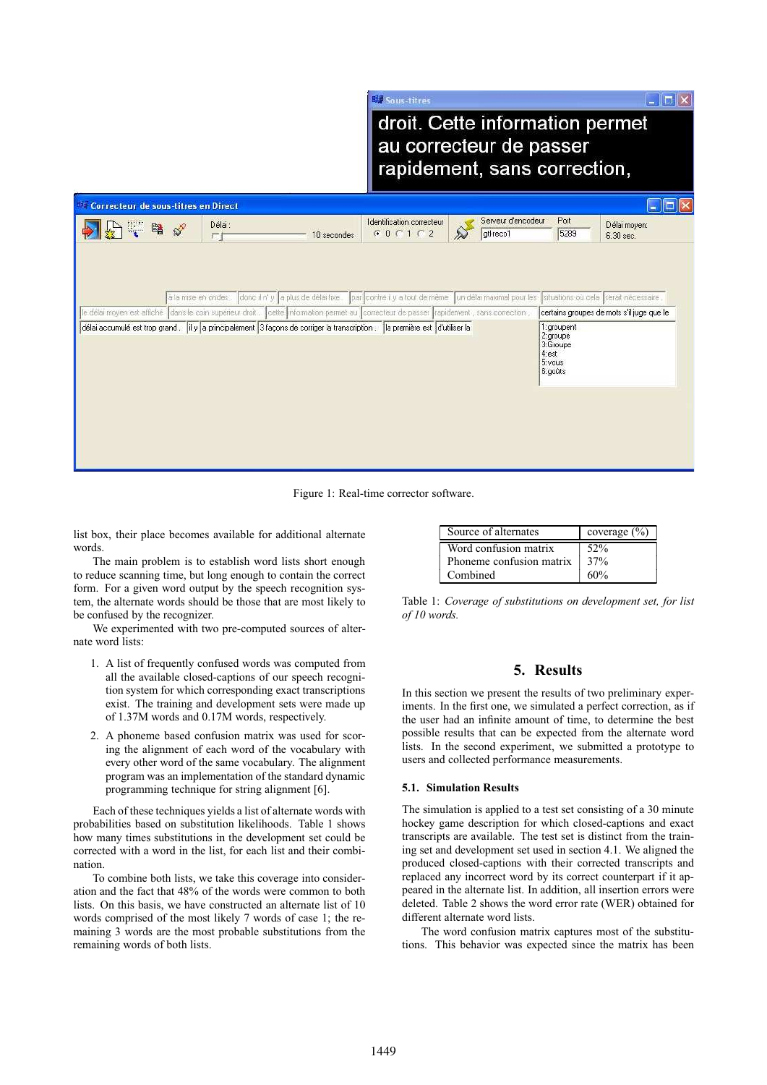$\Box$  $\Box$  $\times$ 

droit. Cette information permet au correcteur de passer rapidement, sans correction,

| Correcteur de sous-titres en Direct |                                                                                                                                                                                                                                                                                                                                                                                                                                      |                           |                    |                                                     |                                           |  |
|-------------------------------------|--------------------------------------------------------------------------------------------------------------------------------------------------------------------------------------------------------------------------------------------------------------------------------------------------------------------------------------------------------------------------------------------------------------------------------------|---------------------------|--------------------|-----------------------------------------------------|-------------------------------------------|--|
| 曙<br>$\mathcal{S}^2$                | Délai:                                                                                                                                                                                                                                                                                                                                                                                                                               | Identification correcteur | Serveur d'encodeur | Port                                                | Délai moyen:                              |  |
|                                     | 10 secondes<br>厂                                                                                                                                                                                                                                                                                                                                                                                                                     | $G$ 0 $C$ 1 $C$ 2         | gtl-reco1          | 5289                                                | 6.30 sec.                                 |  |
|                                     | donc il n' y la plus de délai fixe par contre il y a tout de même un délai maximal pour les situations où cela serait nécessaire<br>à la mise en ondes.<br>le délai moyen est affiché dans le coin supérieur droit. cette information permet au correcteur de passer trapidement , sans correction,<br>délai accumulé est trop grand . [il y a principalement 3 façons de corriger la transcription : [la première est d'utiliser la |                           |                    | 1:groupent                                          | certains groupes de mots s'il juge que le |  |
|                                     |                                                                                                                                                                                                                                                                                                                                                                                                                                      |                           |                    | 2:groupe<br>3:Groupe<br>4:est<br>5: vous<br>6:goûts |                                           |  |
|                                     |                                                                                                                                                                                                                                                                                                                                                                                                                                      |                           |                    |                                                     |                                           |  |

明 Sous-titres

Figure 1: Real-time corrector software.

list box, their place becomes available for additional alternate words.

The main problem is to establish word lists short enough to reduce scanning time, but long enough to contain the correct form. For a given word output by the speech recognition system, the alternate words should be those that are most likely to be confused by the recognizer.

We experimented with two pre-computed sources of alternate word lists:

- 1. A list of frequently confused words was computed from all the available closed-captions of our speech recognition system for which corresponding exact transcriptions exist. The training and development sets were made up of 1.37M words and 0.17M words, respectively.
- 2. A phoneme based confusion matrix was used for scoring the alignment of each word of the vocabulary with every other word of the same vocabulary. The alignment program was an implementation of the standard dynamic programming technique for string alignment [6].

Each of these techniques yields a list of alternate words with probabilities based on substitution likelihoods. Table 1 shows how many times substitutions in the development set could be corrected with a word in the list, for each list and their combination.

To combine both lists, we take this coverage into consideration and the fact that 48% of the words were common to both lists. On this basis, we have constructed an alternate list of 10 words comprised of the most likely 7 words of case 1; the remaining 3 words are the most probable substitutions from the remaining words of both lists.

| Source of alternates     | coverage $(\% )$ |  |
|--------------------------|------------------|--|
| Word confusion matrix    | $52\%$           |  |
| Phoneme confusion matrix | 37%              |  |
| Combined                 | $60\%$           |  |

Table 1: *Coverage of substitutions on development set, for list of 10 words.*

### **5. Results**

In this section we present the results of two preliminary experiments. In the first one, we simulated a perfect correction, as if the user had an infinite amount of time, to determine the best possible results that can be expected from the alternate word lists. In the second experiment, we submitted a prototype to users and collected performance measurements.

#### **5.1. Simulation Results**

The simulation is applied to a test set consisting of a 30 minute hockey game description for which closed-captions and exact transcripts are available. The test set is distinct from the training set and development set used in section 4.1. We aligned the produced closed-captions with their corrected transcripts and replaced any incorrect word by its correct counterpart if it appeared in the alternate list. In addition, all insertion errors were deleted. Table 2 shows the word error rate (WER) obtained for different alternate word lists.

The word confusion matrix captures most of the substitutions. This behavior was expected since the matrix has been